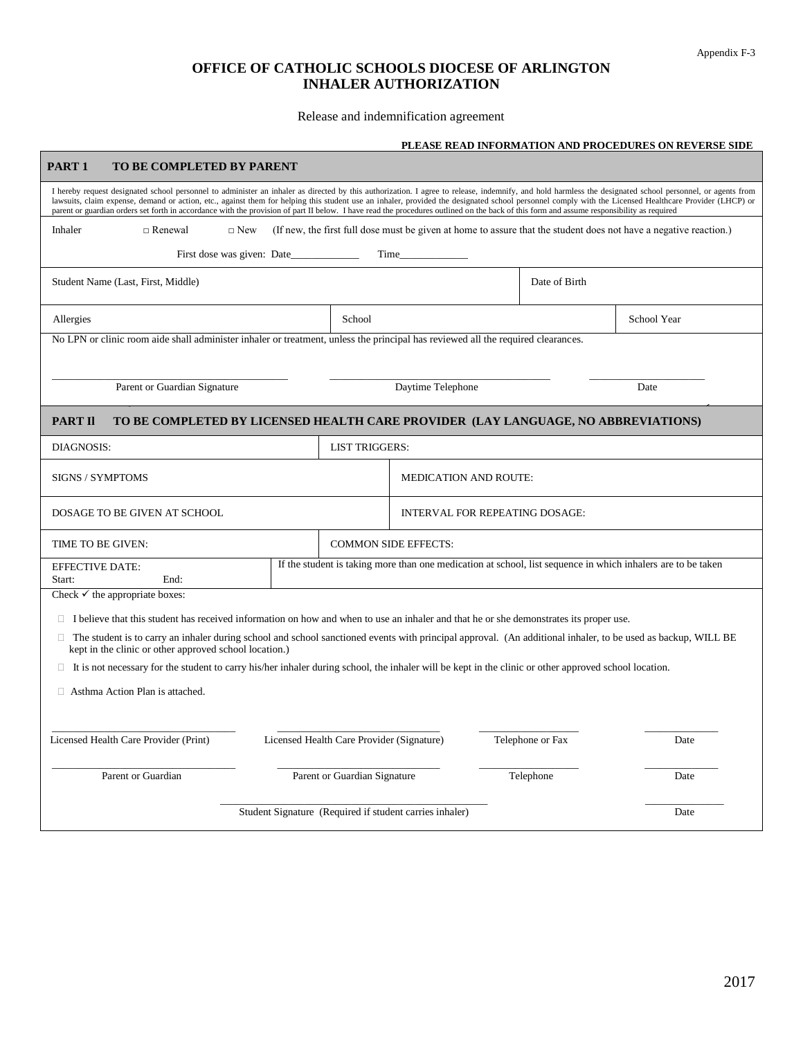## **OFFICE OF CATHOLIC SCHOOLS DIOCESE OF ARLINGTON INHALER AUTHORIZATION**

### Release and indemnification agreement

Г

## **PLEASE READ INFORMATION AND PROCEDURES ON REVERSE SIDE**

| PART <sub>1</sub><br>TO BE COMPLETED BY PARENT                                                                                                                                                                                                                                                                                                                                                                                                                                                                                                                                                                   |                                                         |                                                                                                              |                                                                                                                   |  |
|------------------------------------------------------------------------------------------------------------------------------------------------------------------------------------------------------------------------------------------------------------------------------------------------------------------------------------------------------------------------------------------------------------------------------------------------------------------------------------------------------------------------------------------------------------------------------------------------------------------|---------------------------------------------------------|--------------------------------------------------------------------------------------------------------------|-------------------------------------------------------------------------------------------------------------------|--|
| I hereby request designated school personnel to administer an inhaler as directed by this authorization. I agree to release, indemnify, and hold harmless the designated school personnel, or agents from<br>lawsuits, claim expense, demand or action, etc., against them for helping this student use an inhaler, provided the designated school personnel comply with the Licensed Healthcare Provider (LHCP) or<br>parent or guardian orders set forth in accordance with the provision of part II below. I have read the procedures outlined on the back of this form and assume responsibility as required |                                                         |                                                                                                              |                                                                                                                   |  |
| Inhaler<br>$\Box$ Renewal<br>$\Box$ New                                                                                                                                                                                                                                                                                                                                                                                                                                                                                                                                                                          |                                                         |                                                                                                              | (If new, the first full dose must be given at home to assure that the student does not have a negative reaction.) |  |
| First dose was given: Date                                                                                                                                                                                                                                                                                                                                                                                                                                                                                                                                                                                       | Time                                                    |                                                                                                              |                                                                                                                   |  |
| Student Name (Last, First, Middle)                                                                                                                                                                                                                                                                                                                                                                                                                                                                                                                                                                               |                                                         |                                                                                                              | Date of Birth                                                                                                     |  |
| Allergies<br>School                                                                                                                                                                                                                                                                                                                                                                                                                                                                                                                                                                                              |                                                         |                                                                                                              | School Year                                                                                                       |  |
| No LPN or clinic room aide shall administer inhaler or treatment, unless the principal has reviewed all the required clearances.                                                                                                                                                                                                                                                                                                                                                                                                                                                                                 |                                                         |                                                                                                              |                                                                                                                   |  |
| Parent or Guardian Signature                                                                                                                                                                                                                                                                                                                                                                                                                                                                                                                                                                                     |                                                         | Daytime Telephone                                                                                            | Date                                                                                                              |  |
| PART II                                                                                                                                                                                                                                                                                                                                                                                                                                                                                                                                                                                                          |                                                         |                                                                                                              | TO BE COMPLETED BY LICENSED HEALTH CARE PROVIDER (LAY LANGUAGE, NO ABBREVIATIONS)                                 |  |
| <b>DIAGNOSIS:</b><br><b>LIST TRIGGERS:</b>                                                                                                                                                                                                                                                                                                                                                                                                                                                                                                                                                                       |                                                         |                                                                                                              |                                                                                                                   |  |
| <b>SIGNS / SYMPTOMS</b>                                                                                                                                                                                                                                                                                                                                                                                                                                                                                                                                                                                          |                                                         | <b>MEDICATION AND ROUTE:</b>                                                                                 |                                                                                                                   |  |
| DOSAGE TO BE GIVEN AT SCHOOL                                                                                                                                                                                                                                                                                                                                                                                                                                                                                                                                                                                     |                                                         | <b>INTERVAL FOR REPEATING DOSAGE:</b>                                                                        |                                                                                                                   |  |
| TIME TO BE GIVEN:                                                                                                                                                                                                                                                                                                                                                                                                                                                                                                                                                                                                |                                                         | <b>COMMON SIDE EFFECTS:</b>                                                                                  |                                                                                                                   |  |
| <b>EFFECTIVE DATE:</b><br>End:<br>Start:                                                                                                                                                                                                                                                                                                                                                                                                                                                                                                                                                                         |                                                         | If the student is taking more than one medication at school, list sequence in which inhalers are to be taken |                                                                                                                   |  |
| Check $\checkmark$ the appropriate boxes:                                                                                                                                                                                                                                                                                                                                                                                                                                                                                                                                                                        |                                                         |                                                                                                              |                                                                                                                   |  |
| $\Box$ I believe that this student has received information on how and when to use an inhaler and that he or she demonstrates its proper use.<br>$\Box$ The student is to carry an inhaler during school and school sanctioned events with principal approval. (An additional inhaler, to be used as backup, WILL BE<br>kept in the clinic or other approved school location.)                                                                                                                                                                                                                                   |                                                         |                                                                                                              |                                                                                                                   |  |
| $\Box$ It is not necessary for the student to carry his/her inhaler during school, the inhaler will be kept in the clinic or other approved school location.                                                                                                                                                                                                                                                                                                                                                                                                                                                     |                                                         |                                                                                                              |                                                                                                                   |  |
| $\Box$ Asthma Action Plan is attached.                                                                                                                                                                                                                                                                                                                                                                                                                                                                                                                                                                           |                                                         |                                                                                                              |                                                                                                                   |  |
| Licensed Health Care Provider (Print)                                                                                                                                                                                                                                                                                                                                                                                                                                                                                                                                                                            | Licensed Health Care Provider (Signature)               | Telephone or Fax                                                                                             | Date                                                                                                              |  |
| Parent or Guardian<br>Parent or Guardian Signature                                                                                                                                                                                                                                                                                                                                                                                                                                                                                                                                                               |                                                         |                                                                                                              | Telephone<br>Date                                                                                                 |  |
|                                                                                                                                                                                                                                                                                                                                                                                                                                                                                                                                                                                                                  | Student Signature (Required if student carries inhaler) |                                                                                                              | Date                                                                                                              |  |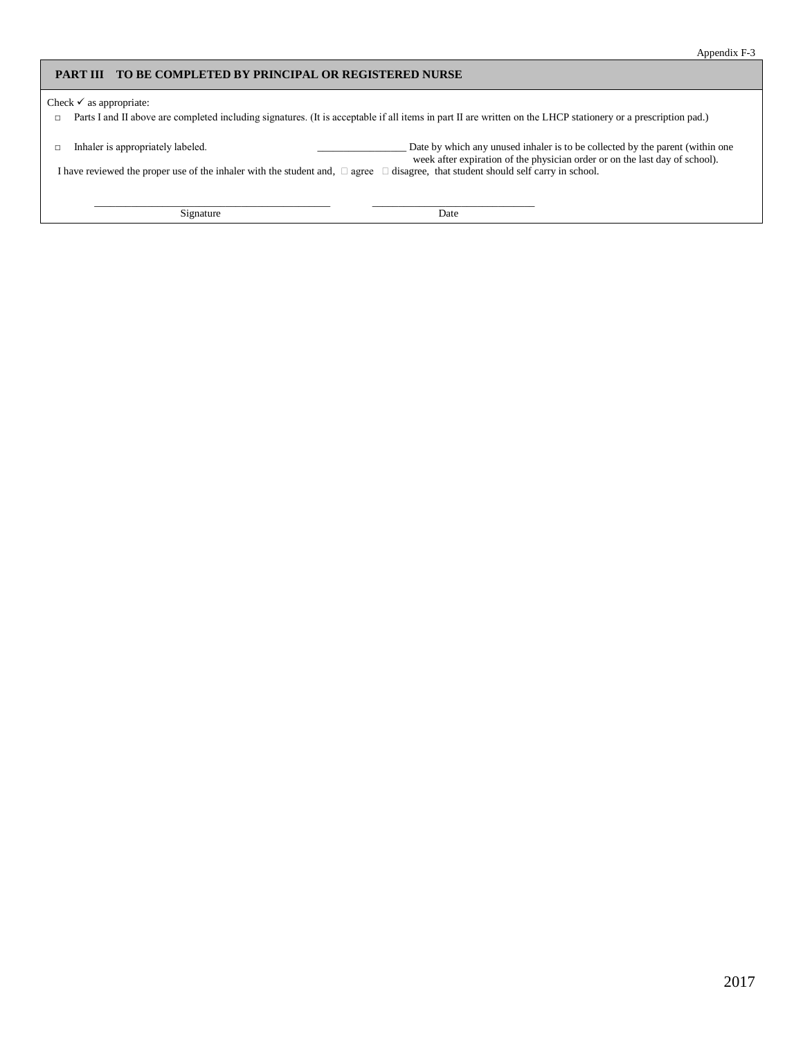#### **PART III TO BE COMPLETED BY PRINCIPAL OR REGISTERED NURSE**

Check  $\checkmark$  as appropriate:

□ Parts I and II above are completed including signatures. (It is acceptable if all items in part II are written on the LHCP stationery or a prescription pad.)

□ Inhaler is appropriately labeled. \_\_\_\_\_\_\_\_\_\_\_\_\_\_\_\_\_ Date by which any unused inhaler is to be collected by the parent (within one week after expiration of the physician order or on the last day of school).

I have reviewed the proper use of the inhaler with the student and,  $\Box$  agree  $\Box$  disagree, that student should self carry in school.

\_\_\_\_\_\_\_\_\_\_\_\_\_\_\_\_\_\_\_\_\_\_\_\_\_\_\_\_\_\_\_\_\_\_\_\_\_\_\_\_\_\_\_\_\_ \_\_\_\_\_\_\_\_\_\_\_\_\_\_\_\_\_\_\_\_\_\_\_\_\_\_\_\_\_\_\_

Signature Date